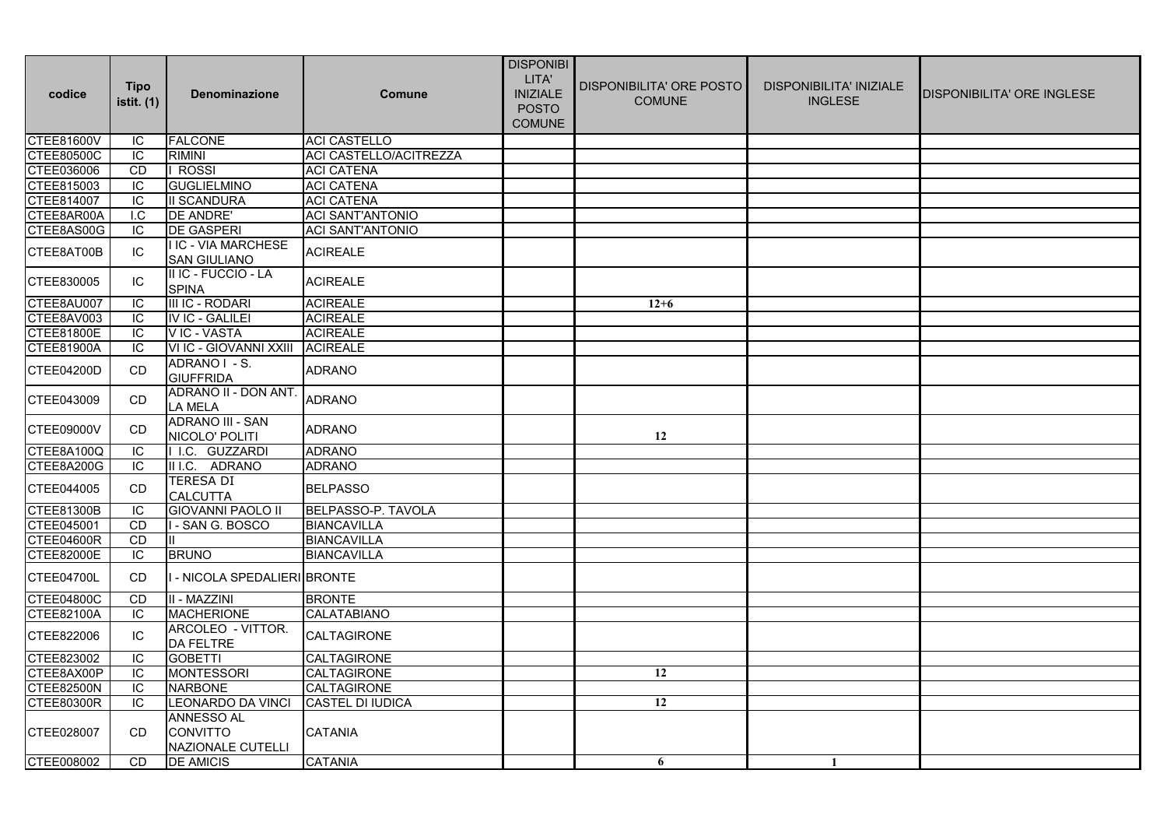| codice            | <b>Tipo</b><br>istit. (1) | <b>Denominazione</b>                                             | <b>Comune</b>           | <b>DISPONIBI</b><br>LITA'<br><b>INIZIALE</b><br><b>POSTO</b><br><b>COMUNE</b> | DISPONIBILITA' ORE POSTO<br><b>COMUNE</b> | <b>DISPONIBILITA' INIZIALE</b><br><b>INGLESE</b> | <b>DISPONIBILITA' ORE INGLESE</b> |
|-------------------|---------------------------|------------------------------------------------------------------|-------------------------|-------------------------------------------------------------------------------|-------------------------------------------|--------------------------------------------------|-----------------------------------|
| <b>CTEE81600V</b> | ΙC                        | <b>FALCONE</b>                                                   | <b>ACI CASTELLO</b>     |                                                                               |                                           |                                                  |                                   |
| <b>CTEE80500C</b> | ΙC                        | <b>RIMINI</b>                                                    | ACI CASTELLO/ACITREZZA  |                                                                               |                                           |                                                  |                                   |
| CTEE036006        | <b>CD</b>                 | ROSSI                                                            | <b>ACI CATENA</b>       |                                                                               |                                           |                                                  |                                   |
| CTEE815003        | IC                        | <b>GUGLIELMINO</b>                                               | <b>ACI CATENA</b>       |                                                                               |                                           |                                                  |                                   |
| CTEE814007        | IC                        | <b>II SCANDURA</b>                                               | <b>ACI CATENA</b>       |                                                                               |                                           |                                                  |                                   |
| CTEE8AR00A        | I.C                       | DE ANDRE'                                                        | <b>ACI SANT'ANTONIO</b> |                                                                               |                                           |                                                  |                                   |
| CTEE8AS00G        | IC                        | <b>DE GASPERI</b>                                                | <b>ACI SANT'ANTONIO</b> |                                                                               |                                           |                                                  |                                   |
| CTEE8AT00B        | IC                        | <b>I IC - VIA MARCHESE</b><br><b>SAN GIULIANO</b>                | <b>ACIREALE</b>         |                                                                               |                                           |                                                  |                                   |
| CTEE830005        | IC                        | II IC - FUCCIO - LA<br><b>SPINA</b>                              | <b>ACIREALE</b>         |                                                                               |                                           |                                                  |                                   |
| CTEE8AU007        | ΙC                        | III IC - RODARI                                                  | <b>ACIREALE</b>         |                                                                               | $12 + 6$                                  |                                                  |                                   |
| CTEE8AV003        | ΙC                        | <b>IV IC - GALILEI</b>                                           | <b>ACIREALE</b>         |                                                                               |                                           |                                                  |                                   |
| <b>CTEE81800E</b> | IC                        | V IC - VASTA                                                     | <b>ACIREALE</b>         |                                                                               |                                           |                                                  |                                   |
| CTEE81900A        | IC                        | VI IC - GIOVANNI XXIII                                           | <b>ACIREALE</b>         |                                                                               |                                           |                                                  |                                   |
| CTEE04200D        | <b>CD</b>                 | ADRANO I - S.<br><b>GIUFFRIDA</b>                                | <b>ADRANO</b>           |                                                                               |                                           |                                                  |                                   |
| CTEE043009        | <b>CD</b>                 | ADRANO II - DON ANT.<br>LA MELA                                  | <b>ADRANO</b>           |                                                                               |                                           |                                                  |                                   |
| CTEE09000V        | <b>CD</b>                 | <b>ADRANO III - SAN</b><br>NICOLO' POLITI                        | <b>ADRANO</b>           |                                                                               | 12                                        |                                                  |                                   |
| CTEE8A100Q        | IC                        | I I.C. GUZZARDI                                                  | <b>ADRANO</b>           |                                                                               |                                           |                                                  |                                   |
| CTEE8A200G        | ΙC                        | II I.C. ADRANO                                                   | <b>ADRANO</b>           |                                                                               |                                           |                                                  |                                   |
| CTEE044005        | CD                        | <b>TERESA DI</b><br><b>CALCUTTA</b>                              | <b>BELPASSO</b>         |                                                                               |                                           |                                                  |                                   |
| <b>CTEE81300B</b> | -IC                       | <b>GIOVANNI PAOLO II</b>                                         | BELPASSO-P. TAVOLA      |                                                                               |                                           |                                                  |                                   |
| CTEE045001        | <b>CD</b>                 | - SAN G. BOSCO                                                   | <b>BIANCAVILLA</b>      |                                                                               |                                           |                                                  |                                   |
| <b>CTEE04600R</b> | <b>CD</b>                 |                                                                  | <b>BIANCAVILLA</b>      |                                                                               |                                           |                                                  |                                   |
| CTEE82000E        | IС                        | <b>BRUNO</b>                                                     | <b>BIANCAVILLA</b>      |                                                                               |                                           |                                                  |                                   |
| CTEE04700L        | <b>CD</b>                 | I - NICOLA SPEDALIERI BRONTE                                     |                         |                                                                               |                                           |                                                  |                                   |
| CTEE04800C        | CD                        | II - MAZZINI                                                     | <b>BRONTE</b>           |                                                                               |                                           |                                                  |                                   |
| <b>CTEE82100A</b> | ΙC                        | <b>MACHERIONE</b>                                                | <b>CALATABIANO</b>      |                                                                               |                                           |                                                  |                                   |
| CTEE822006        | IC                        | ARCOLEO - VITTOR.<br><b>DA FELTRE</b>                            | CALTAGIRONE             |                                                                               |                                           |                                                  |                                   |
| CTEE823002        | IC                        | <b>GOBETTI</b>                                                   | <b>CALTAGIRONE</b>      |                                                                               |                                           |                                                  |                                   |
| CTEE8AX00P        | IC                        | <b>MONTESSORI</b>                                                | <b>CALTAGIRONE</b>      |                                                                               | 12                                        |                                                  |                                   |
| <b>CTEE82500N</b> | IC                        | <b>NARBONE</b>                                                   | <b>CALTAGIRONE</b>      |                                                                               |                                           |                                                  |                                   |
| <b>CTEE80300R</b> | IC                        | <b>LEONARDO DA VINCI</b>                                         | <b>CASTEL DI IUDICA</b> |                                                                               | 12                                        |                                                  |                                   |
| CTEE028007        | CD.                       | <b>ANNESSO AL</b><br><b>CONVITTO</b><br><b>NAZIONALE CUTELLI</b> | <b>CATANIA</b>          |                                                                               |                                           |                                                  |                                   |
| CTEE008002        | <b>CD</b>                 | <b>DE AMICIS</b>                                                 | <b>CATANIA</b>          |                                                                               | 6                                         | $\mathbf{1}$                                     |                                   |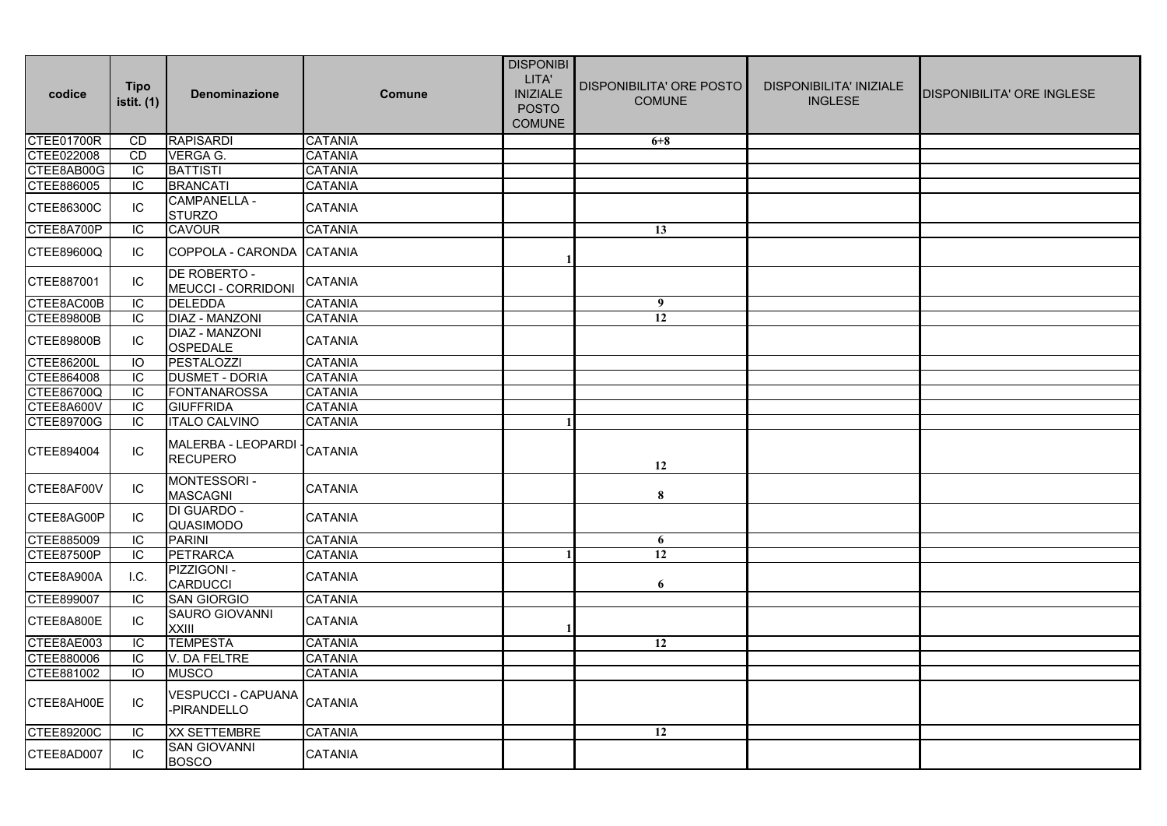| codice            | <b>Tipo</b><br>istit. (1) | <b>Denominazione</b>                      | <b>Comune</b>  | <b>DISPONIBI</b><br>LITA'<br><b>INIZIALE</b><br><b>POSTO</b><br><b>COMUNE</b> | DISPONIBILITA' ORE POSTO<br><b>COMUNE</b> | <b>DISPONIBILITA' INIZIALE</b><br><b>INGLESE</b> | DISPONIBILITA' ORE INGLESE |
|-------------------|---------------------------|-------------------------------------------|----------------|-------------------------------------------------------------------------------|-------------------------------------------|--------------------------------------------------|----------------------------|
| CTEE01700R        | CD                        | <b>RAPISARDI</b>                          | <b>CATANIA</b> |                                                                               | $6 + 8$                                   |                                                  |                            |
| CTEE022008        | <b>CD</b>                 | VERGA G.                                  | <b>CATANIA</b> |                                                                               |                                           |                                                  |                            |
| CTEE8AB00G        | IC                        | <b>BATTISTI</b>                           | CATANIA        |                                                                               |                                           |                                                  |                            |
| CTEE886005        | IC                        | <b>BRANCATI</b>                           | <b>CATANIA</b> |                                                                               |                                           |                                                  |                            |
| CTEE86300C        | IС                        | <b>CAMPANELLA -</b><br><b>STURZO</b>      | CATANIA        |                                                                               |                                           |                                                  |                            |
| CTEE8A700P        | IC                        | <b>CAVOUR</b>                             | CATANIA        |                                                                               | 13                                        |                                                  |                            |
| CTEE89600Q        | IC                        | COPPOLA - CARONDA                         | <b>CATANIA</b> |                                                                               |                                           |                                                  |                            |
| CTEE887001        | IC                        | DE ROBERTO -<br><b>MEUCCI - CORRIDONI</b> | CATANIA        |                                                                               |                                           |                                                  |                            |
| CTEE8AC00B        | IC                        | <b>DELEDDA</b>                            | <b>CATANIA</b> |                                                                               | 9                                         |                                                  |                            |
| <b>CTEE89800B</b> | IC                        | <b>DIAZ - MANZONI</b>                     | <b>CATANIA</b> |                                                                               | $\overline{12}$                           |                                                  |                            |
| CTEE89800B        | IC                        | DIAZ - MANZONI<br><b>OSPEDALE</b>         | CATANIA        |                                                                               |                                           |                                                  |                            |
| <b>CTEE86200L</b> | IO                        | PESTALOZZI                                | CATANIA        |                                                                               |                                           |                                                  |                            |
| CTEE864008        | IC                        | <b>DUSMET - DORIA</b>                     | <b>CATANIA</b> |                                                                               |                                           |                                                  |                            |
| CTEE86700Q        | IC                        | <b>FONTANAROSSA</b>                       | <b>CATANIA</b> |                                                                               |                                           |                                                  |                            |
| CTEE8A600V        | IC                        | <b>GIUFFRIDA</b>                          | <b>CATANIA</b> |                                                                               |                                           |                                                  |                            |
| <b>CTEE89700G</b> | IC                        | <b>ITALO CALVINO</b>                      | <b>CATANIA</b> |                                                                               |                                           |                                                  |                            |
| CTEE894004        | ${\sf IC}$                | MALERBA - LEOPARDI<br><b>RECUPERO</b>     | <b>CATANIA</b> |                                                                               | 12                                        |                                                  |                            |
| CTEE8AF00V        | IC                        | MONTESSORI -<br><b>MASCAGNI</b>           | CATANIA        |                                                                               | $\bf 8$                                   |                                                  |                            |
| CTEE8AG00P        | IC                        | <b>DI GUARDO -</b><br>QUASIMODO           | CATANIA        |                                                                               |                                           |                                                  |                            |
| CTEE885009        | IC                        | <b>PARINI</b>                             | <b>CATANIA</b> |                                                                               | 6                                         |                                                  |                            |
| <b>CTEE87500P</b> | IC                        | <b>PETRARCA</b>                           | <b>CATANIA</b> |                                                                               | $\overline{12}$                           |                                                  |                            |
| CTEE8A900A        | I.C.                      | PIZZIGONI -<br><b>CARDUCCI</b>            | CATANIA        |                                                                               | 6                                         |                                                  |                            |
| CTEE899007        | IC                        | <b>SAN GIORGIO</b>                        | <b>CATANIA</b> |                                                                               |                                           |                                                  |                            |
| CTEE8A800E        | IC                        | <b>SAURO GIOVANNI</b><br><b>XXIII</b>     | <b>CATANIA</b> |                                                                               |                                           |                                                  |                            |
| CTEE8AE003        | IC                        | <b>TEMPESTA</b>                           | <b>CATANIA</b> |                                                                               | 12                                        |                                                  |                            |
| CTEE880006        | IC                        | V. DA FELTRE                              | CATANIA        |                                                                               |                                           |                                                  |                            |
| CTEE881002        | IO                        | <b>MUSCO</b>                              | <b>CATANIA</b> |                                                                               |                                           |                                                  |                            |
| CTEE8AH00E        | IC                        | <b>VESPUCCI - CAPUANA</b><br>-PIRANDELLO  | CATANIA        |                                                                               |                                           |                                                  |                            |
| CTEE89200C        | IС                        | <b>XX SETTEMBRE</b>                       | CATANIA        |                                                                               | $\overline{12}$                           |                                                  |                            |
| CTEE8AD007        | IC                        | <b>SAN GIOVANNI</b><br><b>BOSCO</b>       | CATANIA        |                                                                               |                                           |                                                  |                            |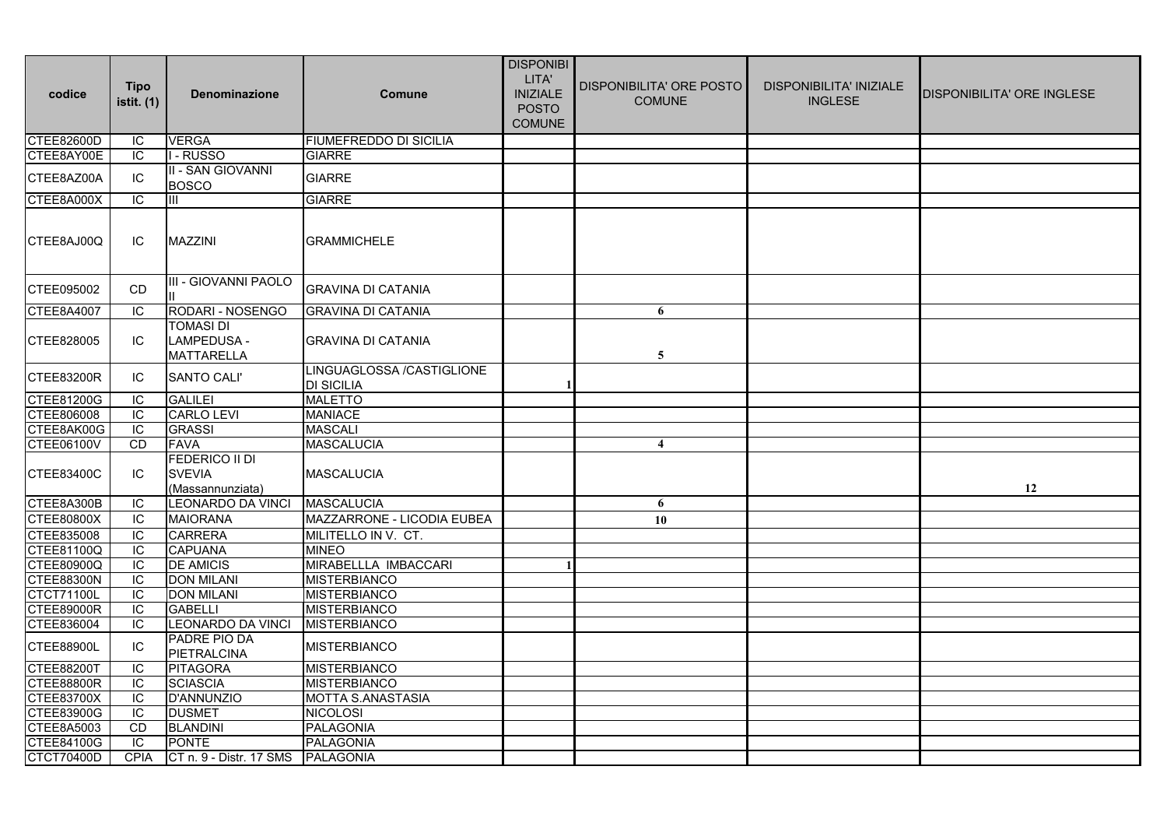| codice            | <b>Tipo</b><br>istit. (1) | <b>Denominazione</b>                                       | Comune                                         | <b>DISPONIBI</b><br>LITA'<br><b>INIZIALE</b><br><b>POSTO</b><br><b>COMUNE</b> | DISPONIBILITA' ORE POSTO<br><b>COMUNE</b> | <b>DISPONIBILITA' INIZIALE</b><br><b>INGLESE</b> | DISPONIBILITA' ORE INGLESE |
|-------------------|---------------------------|------------------------------------------------------------|------------------------------------------------|-------------------------------------------------------------------------------|-------------------------------------------|--------------------------------------------------|----------------------------|
| CTEE82600D        | IC                        | <b>VERGA</b>                                               | <b>FIUMEFREDDO DI SICILIA</b>                  |                                                                               |                                           |                                                  |                            |
| CTEE8AY00E        | IC                        | I - RUSSO                                                  | <b>GIARRE</b>                                  |                                                                               |                                           |                                                  |                            |
| CTEE8AZ00A        | IC                        | II - SAN GIOVANNI<br><b>BOSCO</b>                          | <b>GIARRE</b>                                  |                                                                               |                                           |                                                  |                            |
| CTEE8A000X        | IC                        | Ш                                                          | <b>GIARRE</b>                                  |                                                                               |                                           |                                                  |                            |
| CTEE8AJ00Q        | IC.                       | <b>MAZZINI</b>                                             | <b>GRAMMICHELE</b>                             |                                                                               |                                           |                                                  |                            |
| CTEE095002        | <b>CD</b>                 | III - GIOVANNI PAOLO                                       | <b>GRAVINA DI CATANIA</b>                      |                                                                               |                                           |                                                  |                            |
| CTEE8A4007        | IC                        | RODARI - NOSENGO                                           | <b>GRAVINA DI CATANIA</b>                      |                                                                               | 6                                         |                                                  |                            |
| CTEE828005        | IC.                       | TOMASI DI<br><b>LAMPEDUSA -</b><br><b>MATTARELLA</b>       | <b>GRAVINA DI CATANIA</b>                      |                                                                               | 5                                         |                                                  |                            |
| <b>CTEE83200R</b> | IC                        | <b>SANTO CALI'</b>                                         | LINGUAGLOSSA /CASTIGLIONE<br><b>DI SICILIA</b> |                                                                               |                                           |                                                  |                            |
| CTEE81200G        | IC                        | <b>GALILEI</b>                                             | <b>MALETTO</b>                                 |                                                                               |                                           |                                                  |                            |
| CTEE806008        | IC                        | <b>CARLO LEVI</b>                                          | <b>MANIACE</b>                                 |                                                                               |                                           |                                                  |                            |
| CTEE8AK00G        | IC                        | <b>GRASSI</b>                                              | <b>MASCALI</b>                                 |                                                                               |                                           |                                                  |                            |
| <b>CTEE06100V</b> | <b>CD</b>                 | <b>FAVA</b>                                                | <b>MASCALUCIA</b>                              |                                                                               | $\overline{\mathbf{4}}$                   |                                                  |                            |
| CTEE83400C        | IC.                       | <b>FEDERICO II DI</b><br><b>SVEVIA</b><br>(Massannunziata) | MASCALUCIA                                     |                                                                               |                                           |                                                  | 12                         |
| CTEE8A300B        | IC                        | <b>LEONARDO DA VINCI</b>                                   | <b>MASCALUCIA</b>                              |                                                                               | 6                                         |                                                  |                            |
| <b>CTEE80800X</b> | IC.                       | <b>MAIORANA</b>                                            | MAZZARRONE - LICODIA EUBEA                     |                                                                               | 10                                        |                                                  |                            |
| CTEE835008        | IC                        | <b>CARRERA</b>                                             | MILITELLO IN V. CT.                            |                                                                               |                                           |                                                  |                            |
| CTEE81100Q        | IC                        | <b>CAPUANA</b>                                             | <b>MINEO</b>                                   |                                                                               |                                           |                                                  |                            |
| CTEE80900Q        | ТC                        | <b>DE AMICIS</b>                                           | MIRABELLLA IMBACCARI                           |                                                                               |                                           |                                                  |                            |
| <b>CTEE88300N</b> | IC                        | <b>DON MILANI</b>                                          | <b>MISTERBIANCO</b>                            |                                                                               |                                           |                                                  |                            |
| <b>CTCT71100L</b> | IC                        | <b>DON MILANI</b>                                          | <b>MISTERBIANCO</b>                            |                                                                               |                                           |                                                  |                            |
| <b>CTEE89000R</b> | IC                        | <b>GABELLI</b>                                             | <b>MISTERBIANCO</b>                            |                                                                               |                                           |                                                  |                            |
| CTEE836004        | IC                        | LEONARDO DA VINCI                                          | <b>MISTERBIANCO</b>                            |                                                                               |                                           |                                                  |                            |
| <b>CTEE88900L</b> | IC                        | PADRE PIO DA<br><b>PIETRALCINA</b>                         | <b>MISTERBIANCO</b>                            |                                                                               |                                           |                                                  |                            |
| <b>CTEE88200T</b> | IC                        | <b>PITAGORA</b>                                            | <b>MISTERBIANCO</b>                            |                                                                               |                                           |                                                  |                            |
| <b>CTEE88800R</b> | IC                        | <b>SCIASCIA</b>                                            | MISTERBIANCO                                   |                                                                               |                                           |                                                  |                            |
| <b>CTEE83700X</b> | IC                        | <b>D'ANNUNZIO</b>                                          | <b>MOTTA S.ANASTASIA</b>                       |                                                                               |                                           |                                                  |                            |
| CTEE83900G        | IC                        | <b>DUSMET</b>                                              | <b>NICOLOSI</b>                                |                                                                               |                                           |                                                  |                            |
| CTEE8A5003        | <b>CD</b>                 | <b>BLANDINI</b>                                            | <b>PALAGONIA</b>                               |                                                                               |                                           |                                                  |                            |
| CTEE84100G        | IC                        | <b>PONTE</b>                                               | <b>PALAGONIA</b>                               |                                                                               |                                           |                                                  |                            |
| <b>CTCT70400D</b> | <b>CPIA</b>               | CT n. 9 - Distr. 17 SMS                                    | <b>PALAGONIA</b>                               |                                                                               |                                           |                                                  |                            |